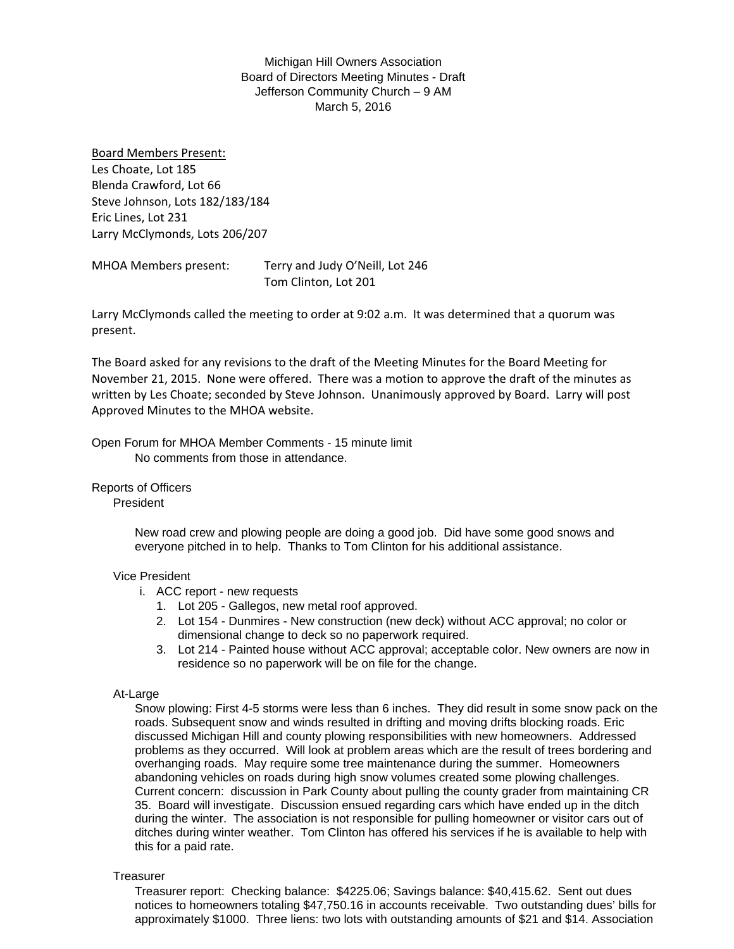Michigan Hill Owners Association Board of Directors Meeting Minutes - Draft Jefferson Community Church – 9 AM March 5, 2016

Board Members Present: Les Choate, Lot 185 Blenda Crawford, Lot 66 Steve Johnson, Lots 182/183/184 Eric Lines, Lot 231 Larry McClymonds, Lots 206/207

MHOA Members present: Terry and Judy O'Neill, Lot 246 Tom Clinton, Lot 201

Larry McClymonds called the meeting to order at 9:02 a.m. It was determined that a quorum was present.

The Board asked for any revisions to the draft of the Meeting Minutes for the Board Meeting for November 21, 2015. None were offered. There was a motion to approve the draft of the minutes as written by Les Choate; seconded by Steve Johnson. Unanimously approved by Board. Larry will post Approved Minutes to the MHOA website.

Open Forum for MHOA Member Comments - 15 minute limit No comments from those in attendance.

Reports of Officers

President

New road crew and plowing people are doing a good job. Did have some good snows and everyone pitched in to help. Thanks to Tom Clinton for his additional assistance.

# Vice President

- i. ACC report new requests
	- 1. Lot 205 Gallegos, new metal roof approved.
	- 2. Lot 154 Dunmires New construction (new deck) without ACC approval; no color or dimensional change to deck so no paperwork required.
	- 3. Lot 214 Painted house without ACC approval; acceptable color. New owners are now in residence so no paperwork will be on file for the change.

## At-Large

Snow plowing: First 4-5 storms were less than 6 inches. They did result in some snow pack on the roads. Subsequent snow and winds resulted in drifting and moving drifts blocking roads. Eric discussed Michigan Hill and county plowing responsibilities with new homeowners. Addressed problems as they occurred. Will look at problem areas which are the result of trees bordering and overhanging roads. May require some tree maintenance during the summer. Homeowners abandoning vehicles on roads during high snow volumes created some plowing challenges. Current concern: discussion in Park County about pulling the county grader from maintaining CR 35. Board will investigate. Discussion ensued regarding cars which have ended up in the ditch during the winter. The association is not responsible for pulling homeowner or visitor cars out of ditches during winter weather. Tom Clinton has offered his services if he is available to help with this for a paid rate.

## **Treasurer**

Treasurer report: Checking balance: \$4225.06; Savings balance: \$40,415.62. Sent out dues notices to homeowners totaling \$47,750.16 in accounts receivable. Two outstanding dues' bills for approximately \$1000. Three liens: two lots with outstanding amounts of \$21 and \$14. Association